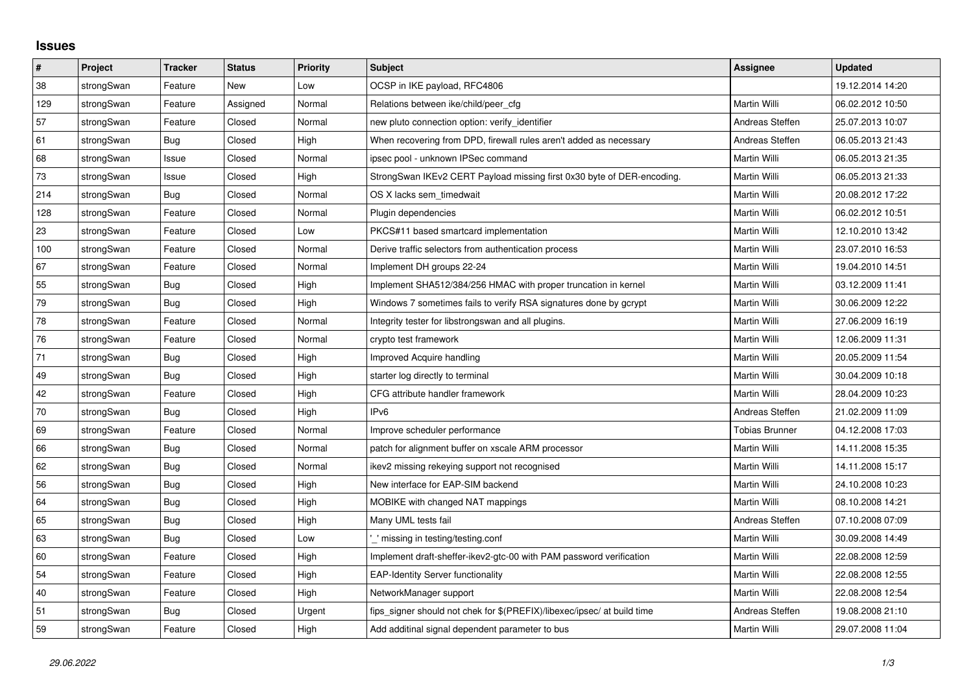## **Issues**

| $\pmb{\sharp}$ | <b>Project</b> | <b>Tracker</b> | <b>Status</b> | <b>Priority</b> | <b>Subject</b>                                                          | Assignee              | <b>Updated</b>   |
|----------------|----------------|----------------|---------------|-----------------|-------------------------------------------------------------------------|-----------------------|------------------|
| 38             | strongSwan     | Feature        | New           | Low             | OCSP in IKE payload, RFC4806                                            |                       | 19.12.2014 14:20 |
| 129            | strongSwan     | Feature        | Assigned      | Normal          | Relations between ike/child/peer cfg                                    | Martin Willi          | 06.02.2012 10:50 |
| 57             | strongSwan     | Feature        | Closed        | Normal          | new pluto connection option: verify identifier                          | Andreas Steffen       | 25.07.2013 10:07 |
| 61             | strongSwan     | Bug            | Closed        | High            | When recovering from DPD, firewall rules aren't added as necessary      | Andreas Steffen       | 06.05.2013 21:43 |
| 68             | strongSwan     | Issue          | Closed        | Normal          | ipsec pool - unknown IPSec command                                      | Martin Willi          | 06.05.2013 21:35 |
| $73\,$         | strongSwan     | Issue          | Closed        | High            | StrongSwan IKEv2 CERT Payload missing first 0x30 byte of DER-encoding.  | Martin Willi          | 06.05.2013 21:33 |
| 214            | strongSwan     | Bug            | Closed        | Normal          | OS X lacks sem timedwait                                                | Martin Willi          | 20.08.2012 17:22 |
| 128            | strongSwan     | Feature        | Closed        | Normal          | Plugin dependencies                                                     | Martin Willi          | 06.02.2012 10:51 |
| 23             | strongSwan     | Feature        | Closed        | Low             | PKCS#11 based smartcard implementation                                  | Martin Willi          | 12.10.2010 13:42 |
| 100            | strongSwan     | Feature        | Closed        | Normal          | Derive traffic selectors from authentication process                    | Martin Willi          | 23.07.2010 16:53 |
| 67             | strongSwan     | Feature        | Closed        | Normal          | Implement DH groups 22-24                                               | Martin Willi          | 19.04.2010 14:51 |
| 55             | strongSwan     | Bug            | Closed        | High            | Implement SHA512/384/256 HMAC with proper truncation in kernel          | Martin Willi          | 03.12.2009 11:41 |
| 79             | strongSwan     | Bug            | Closed        | High            | Windows 7 sometimes fails to verify RSA signatures done by gcrypt       | Martin Willi          | 30.06.2009 12:22 |
| 78             | strongSwan     | Feature        | Closed        | Normal          | Integrity tester for libstrongswan and all plugins.                     | Martin Willi          | 27.06.2009 16:19 |
| 76             | strongSwan     | Feature        | Closed        | Normal          | crypto test framework                                                   | Martin Willi          | 12.06.2009 11:31 |
| 71             | strongSwan     | Bug            | Closed        | High            | Improved Acquire handling                                               | Martin Willi          | 20.05.2009 11:54 |
| 49             | strongSwan     | Bug            | Closed        | High            | starter log directly to terminal                                        | Martin Willi          | 30.04.2009 10:18 |
| 42             | strongSwan     | Feature        | Closed        | High            | CFG attribute handler framework                                         | Martin Willi          | 28.04.2009 10:23 |
| $70\,$         | strongSwan     | Bug            | Closed        | High            | IP <sub>v6</sub>                                                        | Andreas Steffen       | 21.02.2009 11:09 |
| 69             | strongSwan     | Feature        | Closed        | Normal          | Improve scheduler performance                                           | <b>Tobias Brunner</b> | 04.12.2008 17:03 |
| 66             | strongSwan     | Bug            | Closed        | Normal          | patch for alignment buffer on xscale ARM processor                      | Martin Willi          | 14.11.2008 15:35 |
| 62             | strongSwan     | Bug            | Closed        | Normal          | ikev2 missing rekeying support not recognised                           | Martin Willi          | 14.11.2008 15:17 |
| 56             | strongSwan     | Bug            | Closed        | High            | New interface for EAP-SIM backend                                       | Martin Willi          | 24.10.2008 10:23 |
| 64             | strongSwan     | Bug            | Closed        | High            | MOBIKE with changed NAT mappings                                        | Martin Willi          | 08.10.2008 14:21 |
| 65             | strongSwan     | Bug            | Closed        | High            | Many UML tests fail                                                     | Andreas Steffen       | 07.10.2008 07:09 |
| 63             | strongSwan     | Bug            | Closed        | Low             | ' missing in testing/testing.conf                                       | Martin Willi          | 30.09.2008 14:49 |
| 60             | strongSwan     | Feature        | Closed        | High            | Implement draft-sheffer-ikev2-gtc-00 with PAM password verification     | Martin Willi          | 22.08.2008 12:59 |
| 54             | strongSwan     | Feature        | Closed        | High            | <b>EAP-Identity Server functionality</b>                                | Martin Willi          | 22.08.2008 12:55 |
| 40             | strongSwan     | Feature        | Closed        | High            | NetworkManager support                                                  | Martin Willi          | 22.08.2008 12:54 |
| 51             | strongSwan     | Bug            | Closed        | Urgent          | fips signer should not chek for \$(PREFIX)/libexec/ipsec/ at build time | Andreas Steffen       | 19.08.2008 21:10 |
| 59             | strongSwan     | Feature        | Closed        | High            | Add additinal signal dependent parameter to bus                         | Martin Willi          | 29.07.2008 11:04 |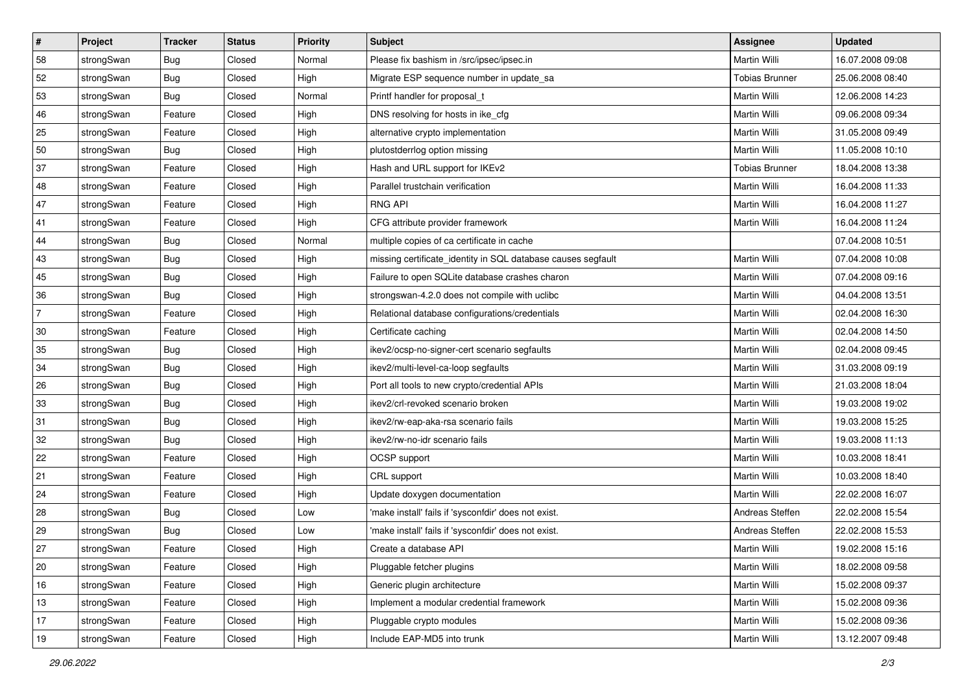| #              | Project    | <b>Tracker</b> | <b>Status</b> | <b>Priority</b> | <b>Subject</b>                                               | Assignee              | <b>Updated</b>   |
|----------------|------------|----------------|---------------|-----------------|--------------------------------------------------------------|-----------------------|------------------|
| 58             | strongSwan | <b>Bug</b>     | Closed        | Normal          | Please fix bashism in /src/ipsec/ipsec.in                    | Martin Willi          | 16.07.2008 09:08 |
| 52             | strongSwan | Bug            | Closed        | High            | Migrate ESP sequence number in update_sa                     | <b>Tobias Brunner</b> | 25.06.2008 08:40 |
| 53             | strongSwan | Bug            | Closed        | Normal          | Printf handler for proposal t                                | Martin Willi          | 12.06.2008 14:23 |
| 46             | strongSwan | Feature        | Closed        | High            | DNS resolving for hosts in ike_cfg                           | Martin Willi          | 09.06.2008 09:34 |
| 25             | strongSwan | Feature        | Closed        | High            | alternative crypto implementation                            | Martin Willi          | 31.05.2008 09:49 |
| 50             | strongSwan | Bug            | Closed        | High            | plutostderrlog option missing                                | Martin Willi          | 11.05.2008 10:10 |
| 37             | strongSwan | Feature        | Closed        | High            | Hash and URL support for IKEv2                               | <b>Tobias Brunner</b> | 18.04.2008 13:38 |
| 48             | strongSwan | Feature        | Closed        | High            | Parallel trustchain verification                             | Martin Willi          | 16.04.2008 11:33 |
| 47             | strongSwan | Feature        | Closed        | High            | <b>RNG API</b>                                               | Martin Willi          | 16.04.2008 11:27 |
| 41             | strongSwan | Feature        | Closed        | High            | CFG attribute provider framework                             | Martin Willi          | 16.04.2008 11:24 |
| 44             | strongSwan | Bug            | Closed        | Normal          | multiple copies of ca certificate in cache                   |                       | 07.04.2008 10:51 |
| 43             | strongSwan | <b>Bug</b>     | Closed        | High            | missing certificate_identity in SQL database causes segfault | Martin Willi          | 07.04.2008 10:08 |
| 45             | strongSwan | Bug            | Closed        | High            | Failure to open SQLite database crashes charon               | Martin Willi          | 07.04.2008 09:16 |
| 36             | strongSwan | Bug            | Closed        | High            | strongswan-4.2.0 does not compile with uclibe                | Martin Willi          | 04.04.2008 13:51 |
| $\overline{7}$ | strongSwan | Feature        | Closed        | High            | Relational database configurations/credentials               | Martin Willi          | 02.04.2008 16:30 |
| $30\,$         | strongSwan | Feature        | Closed        | High            | Certificate caching                                          | Martin Willi          | 02.04.2008 14:50 |
| 35             | strongSwan | Bug            | Closed        | High            | ikev2/ocsp-no-signer-cert scenario segfaults                 | Martin Willi          | 02.04.2008 09:45 |
| 34             | strongSwan | Bug            | Closed        | High            | ikev2/multi-level-ca-loop segfaults                          | Martin Willi          | 31.03.2008 09:19 |
| 26             | strongSwan | Bug            | Closed        | High            | Port all tools to new crypto/credential APIs                 | Martin Willi          | 21.03.2008 18:04 |
| 33             | strongSwan | Bug            | Closed        | High            | ikev2/crl-revoked scenario broken                            | Martin Willi          | 19.03.2008 19:02 |
| 31             | strongSwan | Bug            | Closed        | High            | ikev2/rw-eap-aka-rsa scenario fails                          | Martin Willi          | 19.03.2008 15:25 |
| 32             | strongSwan | Bug            | Closed        | High            | ikev2/rw-no-idr scenario fails                               | Martin Willi          | 19.03.2008 11:13 |
| 22             | strongSwan | Feature        | Closed        | High            | OCSP support                                                 | Martin Willi          | 10.03.2008 18:41 |
| 21             | strongSwan | Feature        | Closed        | High            | CRL support                                                  | Martin Willi          | 10.03.2008 18:40 |
| 24             | strongSwan | Feature        | Closed        | High            | Update doxygen documentation                                 | <b>Martin Willi</b>   | 22.02.2008 16:07 |
| 28             | strongSwan | Bug            | Closed        | Low             | 'make install' fails if 'sysconfdir' does not exist.         | Andreas Steffen       | 22.02.2008 15:54 |
| 29             | strongSwan | Bug            | Closed        | Low             | 'make install' fails if 'sysconfdir' does not exist.         | Andreas Steffen       | 22.02.2008 15:53 |
| 27             | strongSwan | Feature        | Closed        | High            | Create a database API                                        | Martin Willi          | 19.02.2008 15:16 |
| 20             | strongSwan | Feature        | Closed        | High            | Pluggable fetcher plugins                                    | Martin Willi          | 18.02.2008 09:58 |
| 16             | strongSwan | Feature        | Closed        | High            | Generic plugin architecture                                  | Martin Willi          | 15.02.2008 09:37 |
| 13             | strongSwan | Feature        | Closed        | High            | Implement a modular credential framework                     | Martin Willi          | 15.02.2008 09:36 |
| 17             | strongSwan | Feature        | Closed        | High            | Pluggable crypto modules                                     | Martin Willi          | 15.02.2008 09:36 |
| 19             | strongSwan | Feature        | Closed        | High            | Include EAP-MD5 into trunk                                   | Martin Willi          | 13.12.2007 09:48 |